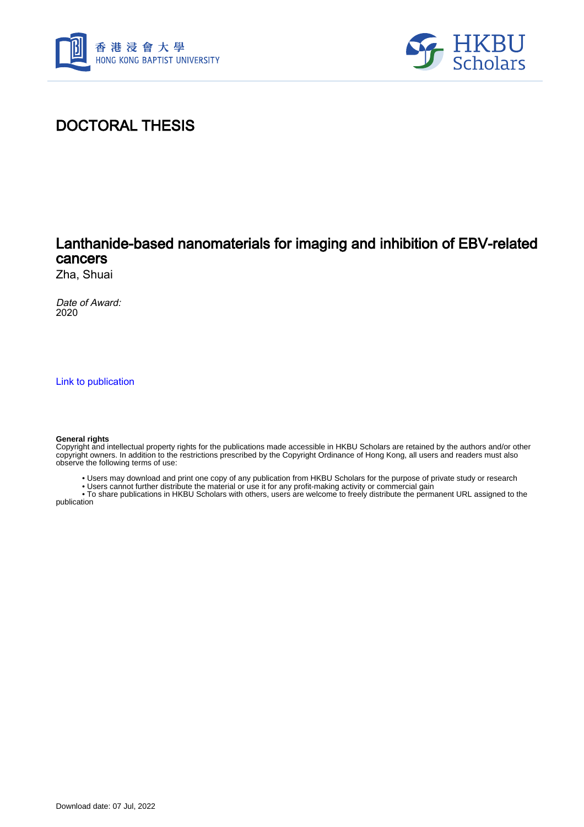



# DOCTORAL THESIS

## Lanthanide-based nanomaterials for imaging and inhibition of EBV-related cancers

Zha, Shuai

Date of Award: 2020

[Link to publication](https://scholars.hkbu.edu.hk/en/studentTheses/58cc6d64-4687-4a43-aa75-73daecfd24bd)

#### **General rights**

Copyright and intellectual property rights for the publications made accessible in HKBU Scholars are retained by the authors and/or other copyright owners. In addition to the restrictions prescribed by the Copyright Ordinance of Hong Kong, all users and readers must also observe the following terms of use:

• Users may download and print one copy of any publication from HKBU Scholars for the purpose of private study or research

• Users cannot further distribute the material or use it for any profit-making activity or commercial gain

 • To share publications in HKBU Scholars with others, users are welcome to freely distribute the permanent URL assigned to the publication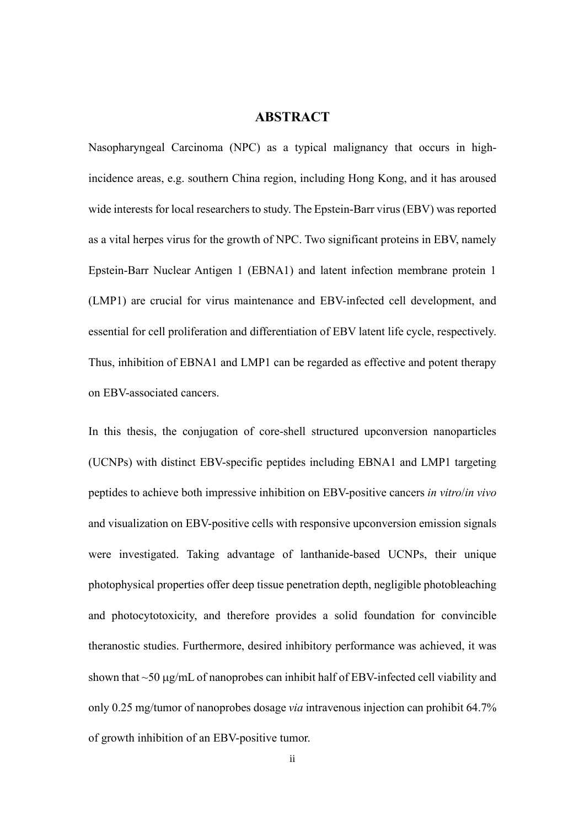### **ABSTRACT**

Nasopharyngeal Carcinoma (NPC) as a typical malignancy that occurs in highincidence areas, e.g. southern China region, including Hong Kong, and it has aroused wide interests for local researchers to study. The Epstein-Barr virus (EBV) was reported as a vital herpes virus for the growth of NPC. Two significant proteins in EBV, namely Epstein-Barr Nuclear Antigen 1 (EBNA1) and latent infection membrane protein 1 (LMP1) are crucial for virus maintenance and EBV-infected cell development, and essential for cell proliferation and differentiation of EBV latent life cycle, respectively. Thus, inhibition of EBNA1 and LMP1 can be regarded as effective and potent therapy on EBV-associated cancers.

In this thesis, the conjugation of core-shell structured upconversion nanoparticles (UCNPs) with distinct EBV-specific peptides including EBNA1 and LMP1 targeting peptides to achieve both impressive inhibition on EBV-positive cancers *in vitro*/*in vivo* and visualization on EBV-positive cells with responsive upconversion emission signals were investigated. Taking advantage of lanthanide-based UCNPs, their unique photophysical properties offer deep tissue penetration depth, negligible photobleaching and photocytotoxicity, and therefore provides a solid foundation for convincible theranostic studies. Furthermore, desired inhibitory performance was achieved, it was shown that  $\sim$ 50  $\mu$ g/mL of nanoprobes can inhibit half of EBV-infected cell viability and only 0.25 mg/tumor of nanoprobes dosage *via* intravenous injection can prohibit 64.7% of growth inhibition of an EBV-positive tumor.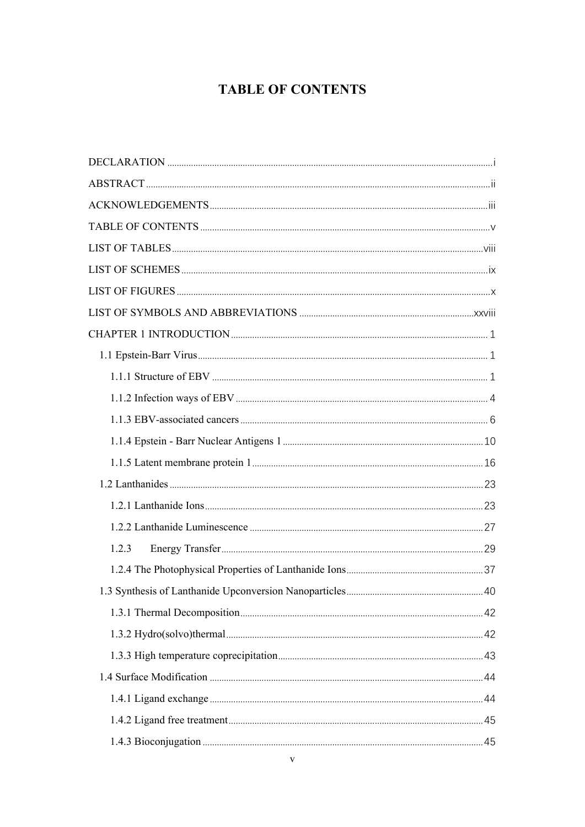# **TABLE OF CONTENTS**

| 1.2.3 |  |
|-------|--|
|       |  |
|       |  |
|       |  |
|       |  |
|       |  |
|       |  |
|       |  |
|       |  |
|       |  |